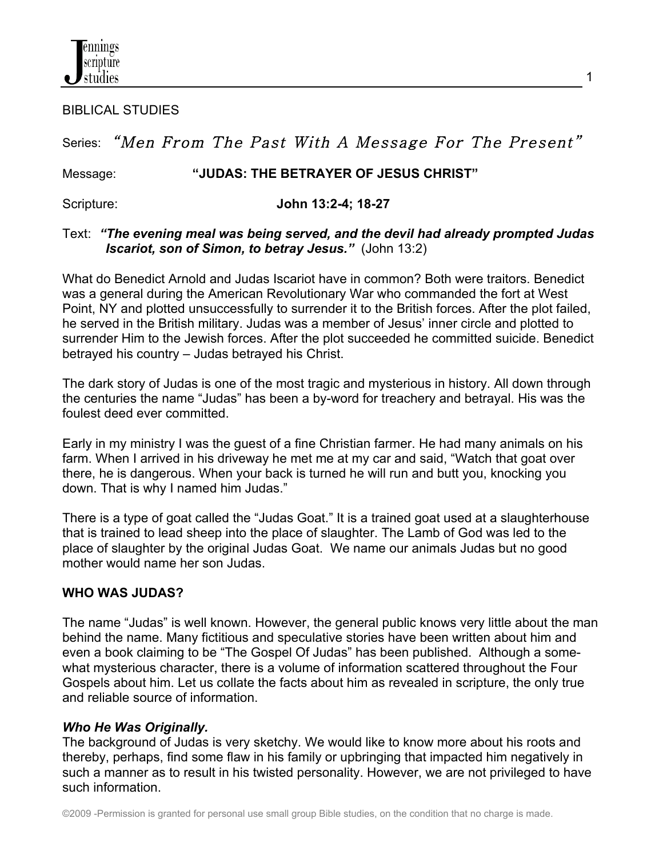BIBLICAL STUDIES

# Series: "Men From The Past With A Message For The Present"

### Message: **"JUDAS: THE BETRAYER OF JESUS CHRIST"**

Scripture: **John 13:2-4; 18-27** 

### Text:*"The evening meal was being served, and the devil had already prompted Judas Iscariot, son of Simon, to betray Jesus."* (John 13:2)

What do Benedict Arnold and Judas Iscariot have in common? Both were traitors. Benedict was a general during the American Revolutionary War who commanded the fort at West Point, NY and plotted unsuccessfully to surrender it to the British forces. After the plot failed, he served in the British military. Judas was a member of Jesus' inner circle and plotted to surrender Him to the Jewish forces. After the plot succeeded he committed suicide. Benedict betrayed his country – Judas betrayed his Christ.

The dark story of Judas is one of the most tragic and mysterious in history. All down through the centuries the name "Judas" has been a by-word for treachery and betrayal. His was the foulest deed ever committed.

Early in my ministry I was the guest of a fine Christian farmer. He had many animals on his farm. When I arrived in his driveway he met me at my car and said, "Watch that goat over there, he is dangerous. When your back is turned he will run and butt you, knocking you down. That is why I named him Judas."

There is a type of goat called the "Judas Goat." It is a trained goat used at a slaughterhouse that is trained to lead sheep into the place of slaughter. The Lamb of God was led to the place of slaughter by the original Judas Goat. We name our animals Judas but no good mother would name her son Judas.

# **WHO WAS JUDAS?**

The name "Judas" is well known. However, the general public knows very little about the man behind the name. Many fictitious and speculative stories have been written about him and even a book claiming to be "The Gospel Of Judas" has been published. Although a somewhat mysterious character, there is a volume of information scattered throughout the Four Gospels about him. Let us collate the facts about him as revealed in scripture, the only true and reliable source of information.

# *Who He Was Originally.*

The background of Judas is very sketchy. We would like to know more about his roots and thereby, perhaps, find some flaw in his family or upbringing that impacted him negatively in such a manner as to result in his twisted personality. However, we are not privileged to have such information.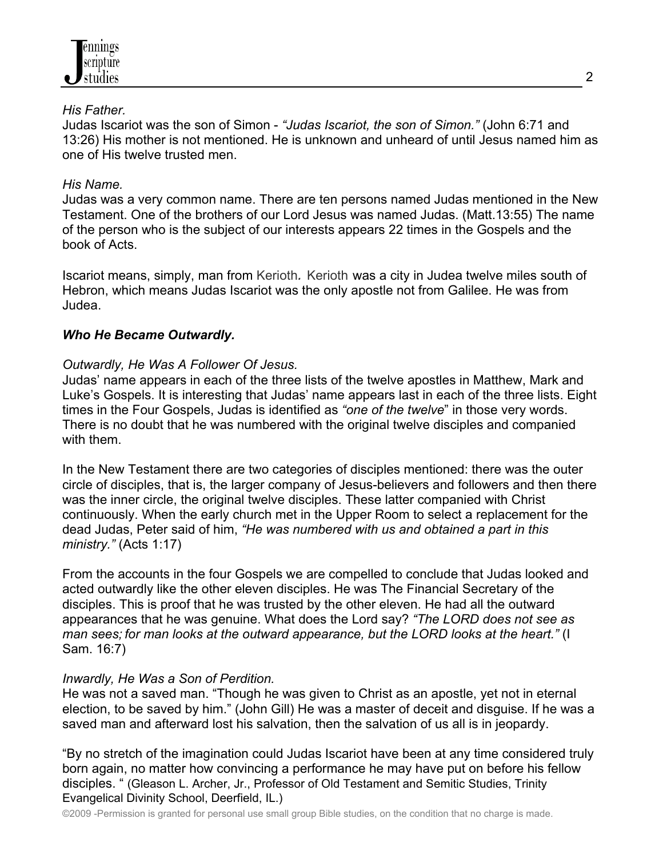

### *His Father.*

Judas Iscariot was the son of Simon - *"Judas Iscariot, the son of Simon."* (John 6:71 and 13:26) His mother is not mentioned. He is unknown and unheard of until Jesus named him as one of His twelve trusted men.

### *His Name.*

Judas was a very common name. There are ten persons named Judas mentioned in the New Testament. One of the brothers of our Lord Jesus was named Judas. (Matt.13:55) The name of the person who is the subject of our interests appears 22 times in the Gospels and the book of Acts.

Iscariot means, simply, man from Kerioth*.* Kerioth was a city in Judea twelve miles south of Hebron, which means Judas Iscariot was the only apostle not from Galilee. He was from Judea.

### *Who He Became Outwardly.*

### *Outwardly, He Was A Follower Of Jesus.*

Judas' name appears in each of the three lists of the twelve apostles in Matthew, Mark and Luke's Gospels. It is interesting that Judas' name appears last in each of the three lists. Eight times in the Four Gospels, Judas is identified as *"one of the twelve*" in those very words. There is no doubt that he was numbered with the original twelve disciples and companied with them.

In the New Testament there are two categories of disciples mentioned: there was the outer circle of disciples, that is, the larger company of Jesus-believers and followers and then there was the inner circle, the original twelve disciples. These latter companied with Christ continuously. When the early church met in the Upper Room to select a replacement for the dead Judas, Peter said of him, *"He was numbered with us and obtained a part in this ministry."* (Acts 1:17)

From the accounts in the four Gospels we are compelled to conclude that Judas looked and acted outwardly like the other eleven disciples. He was The Financial Secretary of the disciples. This is proof that he was trusted by the other eleven. He had all the outward appearances that he was genuine. What does the Lord say? *"The LORD does not see as man sees; for man looks at the outward appearance, but the LORD looks at the heart."* (I Sam. 16:7)

### *Inwardly, He Was a Son of Perdition.*

He was not a saved man. "Though he was given to Christ as an apostle, yet not in eternal election, to be saved by him." (John Gill) He was a master of deceit and disguise. If he was a saved man and afterward lost his salvation, then the salvation of us all is in jeopardy.

"By no stretch of the imagination could Judas Iscariot have been at any time considered truly born again, no matter how convincing a performance he may have put on before his fellow disciples. " (Gleason L. Archer, Jr., Professor of Old Testament and Semitic Studies, Trinity Evangelical Divinity School, Deerfield, IL.)

©2009 -Permission is granted for personal use small group Bible studies, on the condition that no charge is made.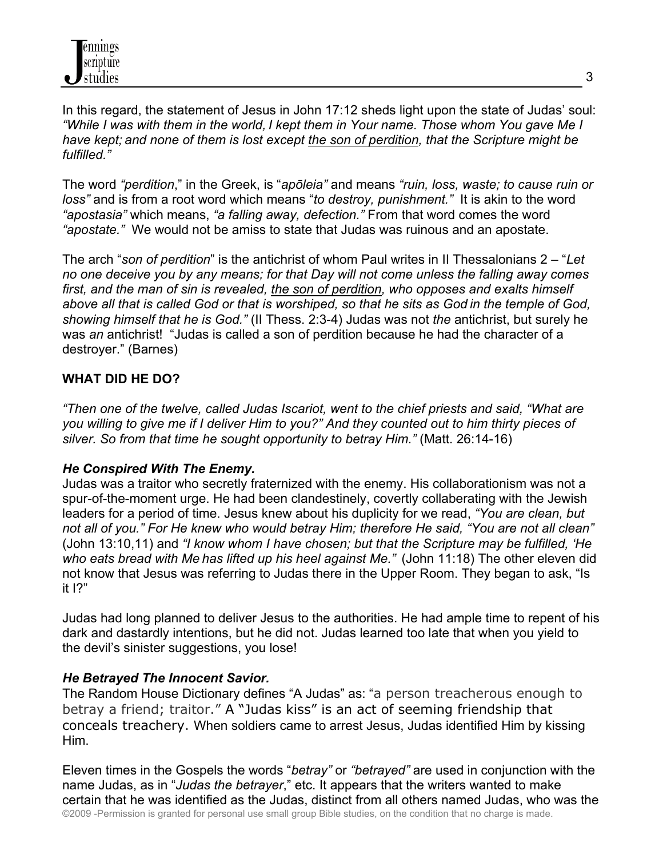In this regard, the statement of Jesus in John 17:12 sheds light upon the state of Judas' soul: *"While I was with them in the world, I kept them in Your name. Those whom You gave Me I have kept; and none of them is lost except the son of perdition, that the Scripture might be fulfilled."*

The word *"perdition*," in the Greek, is "*apōleia"* and means *"ruin, loss, waste; to cause ruin or loss"* and is from a root word which means "*to destroy, punishment."* It is akin to the word *"apostasia"* which means, *"a falling away, defection."* From that word comes the word *"apostate."* We would not be amiss to state that Judas was ruinous and an apostate.

The arch "*son of perdition*" is the antichrist of whom Paul writes in II Thessalonians 2 – "*Let no one deceive you by any means; for that Day will not come unless the falling away comes first, and the man of sin is revealed, the son of perdition, who opposes and exalts himself above all that is called God or that is worshiped, so that he sits as God in the temple of God, showing himself that he is God."* (II Thess. 2:3-4) Judas was not *the* antichrist, but surely he was *an* antichrist! "Judas is called a son of perdition because he had the character of a destroyer." (Barnes)

# **WHAT DID HE DO?**

*"Then one of the twelve, called Judas Iscariot, went to the chief priests and said, "What are you willing to give me if I deliver Him to you?" And they counted out to him thirty pieces of silver. So from that time he sought opportunity to betray Him."* (Matt. 26:14-16)

### *He Conspired With The Enemy.*

Judas was a traitor who secretly fraternized with the enemy. His collaborationism was not a spur-of-the-moment urge. He had been clandestinely, covertly collaberating with the Jewish leaders for a period of time. Jesus knew about his duplicity for we read, *"You are clean, but not all of you." For He knew who would betray Him; therefore He said, "You are not all clean"* (John 13:10,11) and *"I know whom I have chosen; but that the Scripture may be fulfilled, 'He who eats bread with Me has lifted up his heel against Me."* (John 11:18) The other eleven did not know that Jesus was referring to Judas there in the Upper Room. They began to ask, "Is it I?"

Judas had long planned to deliver Jesus to the authorities. He had ample time to repent of his dark and dastardly intentions, but he did not. Judas learned too late that when you yield to the devil's sinister suggestions, you lose!

# *He Betrayed The Innocent Savior.*

The Random House Dictionary defines "A Judas" as: "a person treacherous enough to betray a friend; traitor." A "Judas kiss" is an act of seeming friendship that conceals treachery. When soldiers came to arrest Jesus, Judas identified Him by kissing Him.

©2009 -Permission is granted for personal use small group Bible studies, on the condition that no charge is made. Eleven times in the Gospels the words "*betray"* or *"betrayed"* are used in conjunction with the name Judas, as in "*Judas the betrayer*," etc. It appears that the writers wanted to make certain that he was identified as the Judas, distinct from all others named Judas, who was the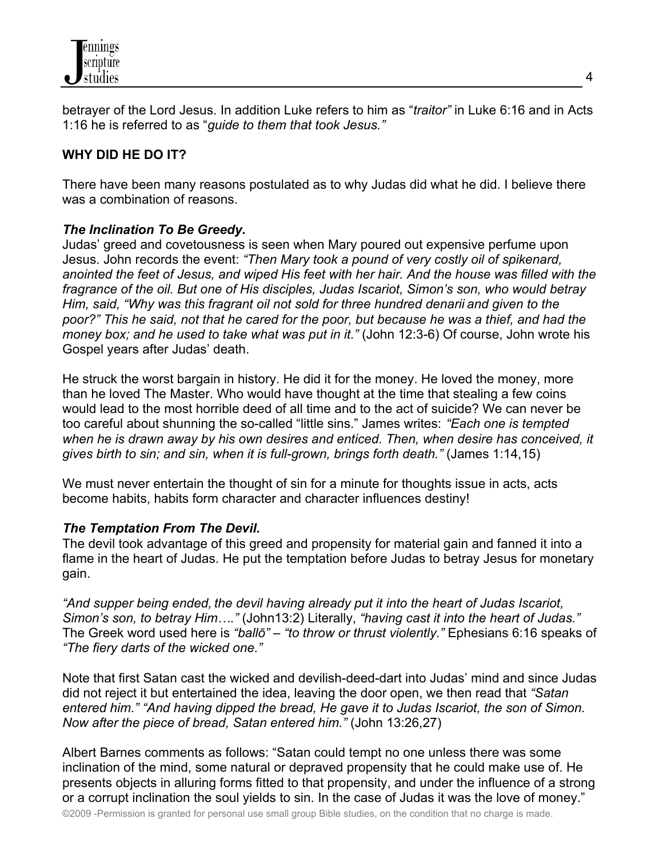

betrayer of the Lord Jesus. In addition Luke refers to him as "*traitor"* in Luke 6:16 and in Acts 1:16 he is referred to as "*guide to them that took Jesus."*

# **WHY DID HE DO IT?**

There have been many reasons postulated as to why Judas did what he did. I believe there was a combination of reasons.

### *The Inclination To Be Greedy.*

Judas' greed and covetousness is seen when Mary poured out expensive perfume upon Jesus. John records the event: *"Then Mary took a pound of very costly oil of spikenard, anointed the feet of Jesus, and wiped His feet with her hair. And the house was filled with the fragrance of the oil. But one of His disciples, Judas Iscariot, Simon's son, who would betray Him, said, "Why was this fragrant oil not sold for three hundred denarii and given to the poor?" This he said, not that he cared for the poor, but because he was a thief, and had the money box; and he used to take what was put in it."* (John 12:3-6) Of course, John wrote his Gospel years after Judas' death.

He struck the worst bargain in history. He did it for the money. He loved the money, more than he loved The Master. Who would have thought at the time that stealing a few coins would lead to the most horrible deed of all time and to the act of suicide? We can never be too careful about shunning the so-called "little sins." James writes: *"Each one is tempted when he is drawn away by his own desires and enticed. Then, when desire has conceived, it gives birth to sin; and sin, when it is full-grown, brings forth death."* (James 1:14,15)

We must never entertain the thought of sin for a minute for thoughts issue in acts, acts become habits, habits form character and character influences destiny!

### *The Temptation From The Devil.*

The devil took advantage of this greed and propensity for material gain and fanned it into a flame in the heart of Judas. He put the temptation before Judas to betray Jesus for monetary gain.

*"And supper being ended, the devil having already put it into the heart of Judas Iscariot, Simon's son, to betray Him…."* (John13:2) Literally, *"having cast it into the heart of Judas."* The Greek word used here is *"ballō"* – *"to throw or thrust violently."* Ephesians 6:16 speaks of *"The fiery darts of the wicked one."*

Note that first Satan cast the wicked and devilish-deed-dart into Judas' mind and since Judas did not reject it but entertained the idea, leaving the door open, we then read that *"Satan entered him." "And having dipped the bread, He gave it to Judas Iscariot, the son of Simon. Now after the piece of bread, Satan entered him."* (John 13:26,27)

Albert Barnes comments as follows: "Satan could tempt no one unless there was some inclination of the mind, some natural or depraved propensity that he could make use of. He presents objects in alluring forms fitted to that propensity, and under the influence of a strong or a corrupt inclination the soul yields to sin. In the case of Judas it was the love of money."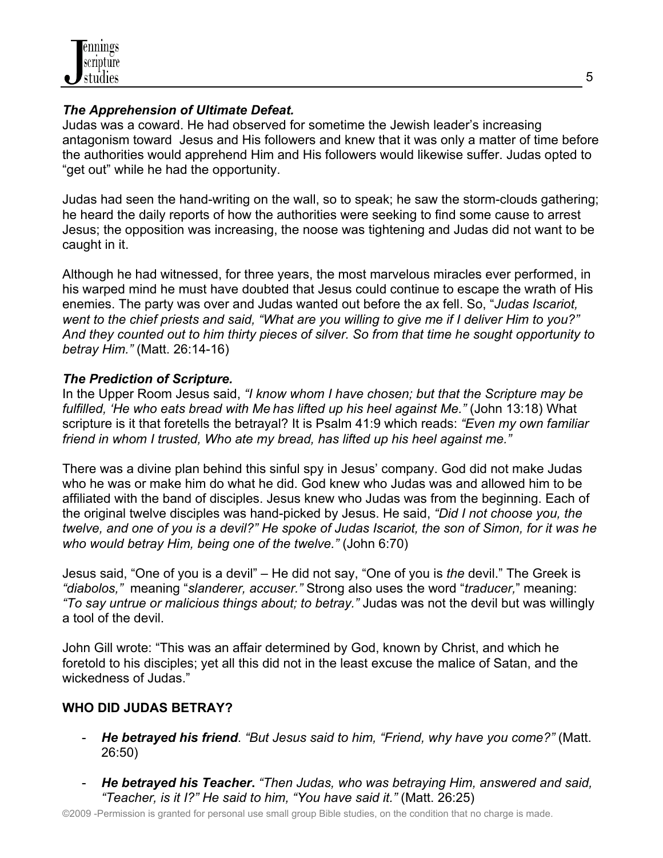

### *The Apprehension of Ultimate Defeat.*

Judas was a coward. He had observed for sometime the Jewish leader's increasing antagonism toward Jesus and His followers and knew that it was only a matter of time before the authorities would apprehend Him and His followers would likewise suffer. Judas opted to "get out" while he had the opportunity.

Judas had seen the hand-writing on the wall, so to speak; he saw the storm-clouds gathering; he heard the daily reports of how the authorities were seeking to find some cause to arrest Jesus; the opposition was increasing, the noose was tightening and Judas did not want to be caught in it.

Although he had witnessed, for three years, the most marvelous miracles ever performed, in his warped mind he must have doubted that Jesus could continue to escape the wrath of His enemies. The party was over and Judas wanted out before the ax fell. So, "*Judas Iscariot, went to the chief priests and said, "What are you willing to give me if I deliver Him to you?" And they counted out to him thirty pieces of silver. So from that time he sought opportunity to betray Him."* (Matt. 26:14-16)

### *The Prediction of Scripture.*

In the Upper Room Jesus said, *"I know whom I have chosen; but that the Scripture may be fulfilled, 'He who eats bread with Me has lifted up his heel against Me."* (John 13:18) What scripture is it that foretells the betrayal? It is Psalm 41:9 which reads: *"Even my own familiar friend in whom I trusted, Who ate my bread, has lifted up his heel against me."*

There was a divine plan behind this sinful spy in Jesus' company. God did not make Judas who he was or make him do what he did. God knew who Judas was and allowed him to be affiliated with the band of disciples. Jesus knew who Judas was from the beginning. Each of the original twelve disciples was hand-picked by Jesus. He said, *"Did I not choose you, the twelve, and one of you is a devil?" He spoke of Judas Iscariot, the son of Simon, for it was he who would betray Him, being one of the twelve."* (John 6:70)

Jesus said, "One of you is a devil" – He did not say, "One of you is *the* devil." The Greek is *"diabolos,"* meaning "*slanderer, accuser."* Strong also uses the word "*traducer,*" meaning: *"To say untrue or malicious things about; to betray."* Judas was not the devil but was willingly a tool of the devil.

John Gill wrote: "This was an affair determined by God, known by Christ, and which he foretold to his disciples; yet all this did not in the least excuse the malice of Satan, and the wickedness of Judas."

# **WHO DID JUDAS BETRAY?**

- *He betrayed his friend*. *"But Jesus said to him, "Friend, why have you come?"* (Matt. 26:50)
- *He betrayed his Teacher***.** *"Then Judas, who was betraying Him, answered and said, "Teacher, is it I?" He said to him, "You have said it."* (Matt. 26:25)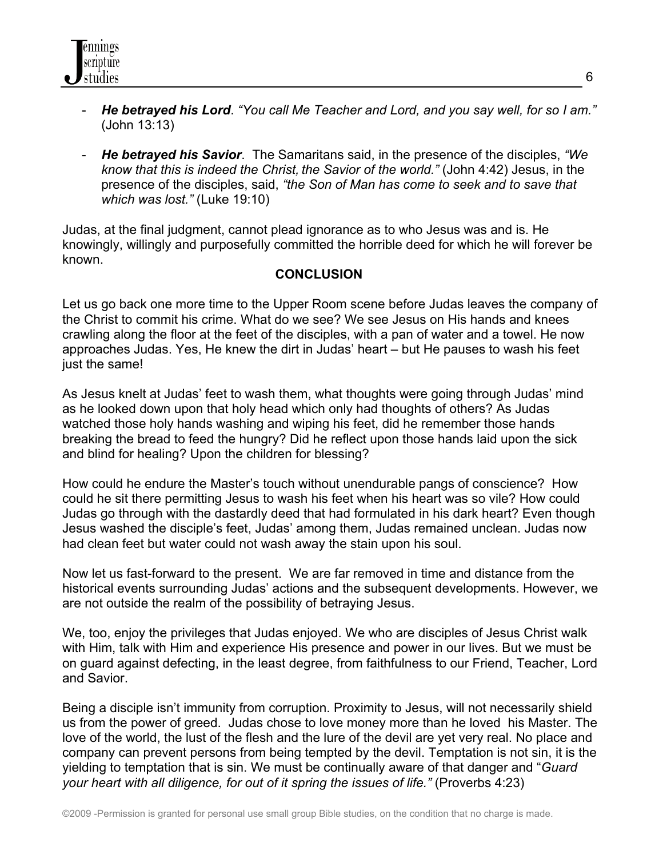- *He betrayed his Lord*. *"You call Me Teacher and Lord, and you say well, for so I am."* (John 13:13)
- *He betrayed his Savior*. The Samaritans said, in the presence of the disciples, *"We know that this is indeed the Christ, the Savior of the world."* (John 4:42) Jesus, in the presence of the disciples, said, *"the Son of Man has come to seek and to save that which was lost."* (Luke 19:10)

Judas, at the final judgment, cannot plead ignorance as to who Jesus was and is. He knowingly, willingly and purposefully committed the horrible deed for which he will forever be known.

### **CONCLUSION**

Let us go back one more time to the Upper Room scene before Judas leaves the company of the Christ to commit his crime. What do we see? We see Jesus on His hands and knees crawling along the floor at the feet of the disciples, with a pan of water and a towel. He now approaches Judas. Yes, He knew the dirt in Judas' heart – but He pauses to wash his feet just the same!

As Jesus knelt at Judas' feet to wash them, what thoughts were going through Judas' mind as he looked down upon that holy head which only had thoughts of others? As Judas watched those holy hands washing and wiping his feet, did he remember those hands breaking the bread to feed the hungry? Did he reflect upon those hands laid upon the sick and blind for healing? Upon the children for blessing?

How could he endure the Master's touch without unendurable pangs of conscience? How could he sit there permitting Jesus to wash his feet when his heart was so vile? How could Judas go through with the dastardly deed that had formulated in his dark heart? Even though Jesus washed the disciple's feet, Judas' among them, Judas remained unclean. Judas now had clean feet but water could not wash away the stain upon his soul.

Now let us fast-forward to the present. We are far removed in time and distance from the historical events surrounding Judas' actions and the subsequent developments. However, we are not outside the realm of the possibility of betraying Jesus.

We, too, enjoy the privileges that Judas enjoyed. We who are disciples of Jesus Christ walk with Him, talk with Him and experience His presence and power in our lives. But we must be on guard against defecting, in the least degree, from faithfulness to our Friend, Teacher, Lord and Savior.

Being a disciple isn't immunity from corruption. Proximity to Jesus, will not necessarily shield us from the power of greed. Judas chose to love money more than he loved his Master. The love of the world, the lust of the flesh and the lure of the devil are yet very real. No place and company can prevent persons from being tempted by the devil. Temptation is not sin, it is the yielding to temptation that is sin. We must be continually aware of that danger and "*Guard your heart with all diligence, for out of it spring the issues of life."* (Proverbs 4:23)